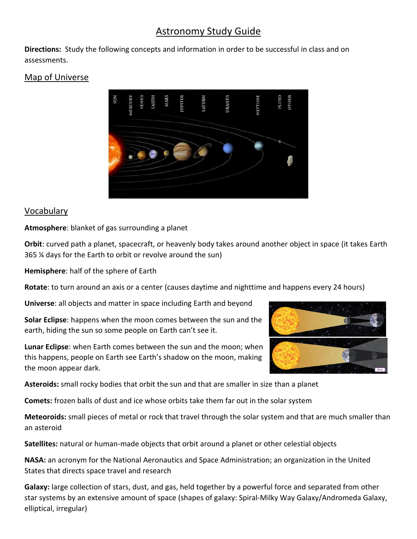# Astronomy Study Guide

**Directions:** Study the following concepts and information in order to be successful in class and on assessments.

## Map of Universe



#### Vocabulary

**Atmosphere**: blanket of gas surrounding a planet

**Orbit**: curved path a planet, spacecraft, or heavenly body takes around another object in space (it takes Earth 365 ¼ days for the Earth to orbit or revolve around the sun)

**Hemisphere**: half of the sphere of Earth

**Rotate**: to turn around an axis or a center (causes daytime and nighttime and happens every 24 hours)

**Universe**: all objects and matter in space including Earth and beyond

**Solar Eclipse**: happens when the moon comes between the sun and the earth, hiding the sun so some people on Earth can't see it.

**Lunar Eclipse**: when Earth comes between the sun and the moon; when this happens, people on Earth see Earth's shadow on the moon, making the moon appear dark.

**Asteroids:** small rocky bodies that orbit the sun and that are smaller in size than a planet

**Comets:** frozen balls of dust and ice whose orbits take them far out in the solar system

**Meteoroids:** small pieces of metal or rock that travel through the solar system and that are much smaller than an asteroid

**Satellites:** natural or human-made objects that orbit around a planet or other celestial objects

**NASA:** an acronym for the National Aeronautics and Space Administration; an organization in the United States that directs space travel and research

**Galaxy:** large collection of stars, dust, and gas, held together by a powerful force and separated from other star systems by an extensive amount of space (shapes of galaxy: Spiral-Milky Way Galaxy/Andromeda Galaxy, elliptical, irregular)